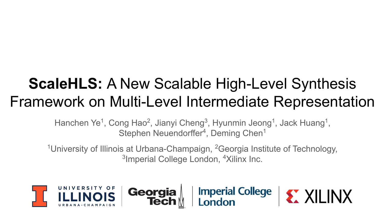# **ScaleHLS:** A New Scalable High-Level Synthesis Framework on Multi-Level Intermediate Representation

Hanchen Ye<sup>1</sup>, Cong Hao<sup>2</sup>, Jianyi Cheng<sup>3</sup>, Hyunmin Jeong<sup>1</sup>, Jack Huang<sup>1</sup>, Stephen Neuendorffer<sup>4</sup>, Deming Chen<sup>1</sup>

<sup>1</sup>University of Illinois at Urbana-Champaign, <sup>2</sup>Georgia Institute of Technology, <sup>3</sup>Imperial College London, <sup>4</sup>Xilinx Inc.

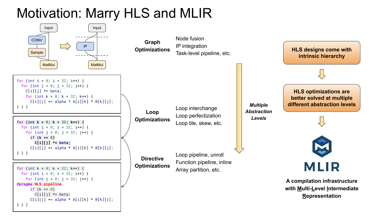## Motivation: Marry HLS and MLIR

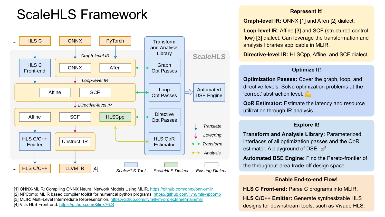## ScaleHLS Framework



[1] ONNX-MLIR: Compiling ONNX Neural Network Models Using MLIR. <https://github.com/onnx/onnx-mlir> [2] NPComp: MLIR based compiler toolkit for numerical python programs.<https://github.com/llvm/mlir-npcomp> [3] MLIR: Multi-Level Intermediate Representation. <https://github.com/llvm/llvm-project/tree/main/mlir> [4] Vitis HLS Front-end:<https://github.com/Xilinx/HLS>

#### **Represent It!**

**Graph-level IR:** ONNX [1] and ATen [2] dialect.

**Loop-level IR:** Affine [3] and SCF (structured control flow) [3] dialect. Can leverage the transformation and analysis libraries applicable in MLIR.

**Directive-level IR:** HLSCpp, Affine, and SCF dialect.

### **Optimize It!**

**Optimization Passes:** Cover the graph, loop, and directive levels. Solve optimization problems at the 'correct' abstraction level.

**QoR Estimator:** Estimate the latency and resource utilization through IR analysis.

### **Explore It!**

**Transform and Analysis Library:** Parameterized interfaces of all optimization passes and the QoR estimator. A playground of DSE.  $\mathcal{P}$ 

**Automated DSE Engine:** Find the Pareto-frontier of the throughput-area trade-off design space.

### **Enable End-to-end Flow!**

**HLS C Front-end:** Parse C programs into MLIR. **HLS C/C++ Emitter:** Generate synthesizable HLS designs for downstream tools, such as Vivado HLS.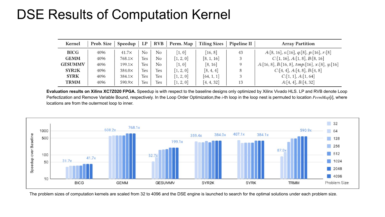### DSE Results of Computation Kernel

| Kernel         | Prob. Size | Speedup       | LP  | RVB            | Perm. Map           | <b>Tiling Sizes</b> | Pipeline II | <b>Array Partition</b>                                 |  |
|----------------|------------|---------------|-----|----------------|---------------------|---------------------|-------------|--------------------------------------------------------|--|
| BICG           | 4096       | $41.7\times$  | No  | No             | $\left[1, 0\right]$ | [16, 8]             | 43          | $A:[8, 16], s:[16], q:[8], p:[16], r:[8]$              |  |
| <b>GEMM</b>    | 4096       | $768.1\times$ | Yes | No             | [1, 2, 0]           | [8, 1, 16]          | 3           | C:[1, 16], A:[1, 8], B:[8, 16]                         |  |
| <b>GESUMMV</b> | 4096       | $199.1\times$ | Yes | N <sub>o</sub> | [1, 0]              | [8, 16]             | $\Omega$    | $A:[16, 8], B:[16, 8], \text{tmp:[}16], x:[8], y:[16]$ |  |
| SYR2K          | 4096       | $384.0\times$ | Yes | Yes            | [1, 2, 0]           | [8, 4, 4]           | 8           | C:[4, 4], A:[4, 8], B:[4, 8]                           |  |
| <b>SYRK</b>    | 4096       | $384.1\times$ | Yes | Yes            | [1, 2, 0]           | [64, 1, 1]          | $\mathbf 2$ | C:[1, 1], A:[1, 64]                                    |  |
| <b>TRMM</b>    | 4096       | $590.9\times$ | Yes | Yes            | [1, 2, 0]           | [4, 4, 32]          | 13          | A:[4, 4], B:[4, 32]                                    |  |

**Evaluation results on Xilinx XC7Z020 FPGA.** Speedup is with respect to the baseline designs only optimized by Xilinx Vivado HLS. LP and RVB denote Loop Perfectization and Remove Variable Bound, respectively. In the Loop Order Optimization, the *i*-th loop in the loop nest is permuted to location PermMap[i], where locations are from the outermost loop to inner.



The problem sizes of computation kernels are scaled from 32 to 4096 and the DSE engine is launched to search for the optimal solutions under each problem size.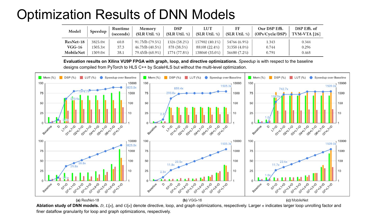### Optimization Results of DNN Models

| Model     | Speedup        | Runtime<br>(seconds) | Memory<br>(SLR Util. %) | DSP<br>(SLR Util. %) | <b>LUT</b><br>(SLR Util. %) | FF<br>(SLR Util. %) | Our DSP Effi.<br>(OPs/Cycle/DSP) | DSP Effi. of<br>$TVM-VTA [26]$ |
|-----------|----------------|----------------------|-------------------------|----------------------|-----------------------------|---------------------|----------------------------------|--------------------------------|
| ResNet-18 | 3825.0×        | 60.8                 | 91.7Mb (79.5%)          | 1326 (58.2%)         | 157902 (40.1%)              | 54766 (6.9%)        | 1.343                            | 0.344                          |
| $VGG-16$  | $1505.3\times$ | 37.3                 | 46.7Mb (40.5%)          | 878 (38.5%)          | 88108 (22.4%)               | 31358 (4.0%)        | 0.744                            | 0.296                          |
| MobileNet | $1509.0\times$ | 38.1                 | 79.4Mb (68.9%)          | 1774 (77.8%)         | 138060 (35.0%)              | 56680 (7.2%)        | 0.791                            | 0.468                          |

**Evaluation results on Xilinx VU9P FPGA with graph, loop, and directive optimizations.** *Speedup* is with respect to the baseline designs compiled from PyTorch to HLS C++ by ScaleHLS but without the multi-level optimization.



**Ablation study of DNN models.** D,  $L\{n\}$ , and  $G\{n\}$  denote directive, loop, and graph optimizations, respectively. Larger n indicates larger loop unrolling factor and finer dataflow granularity for loop and graph optimizations, respectively.